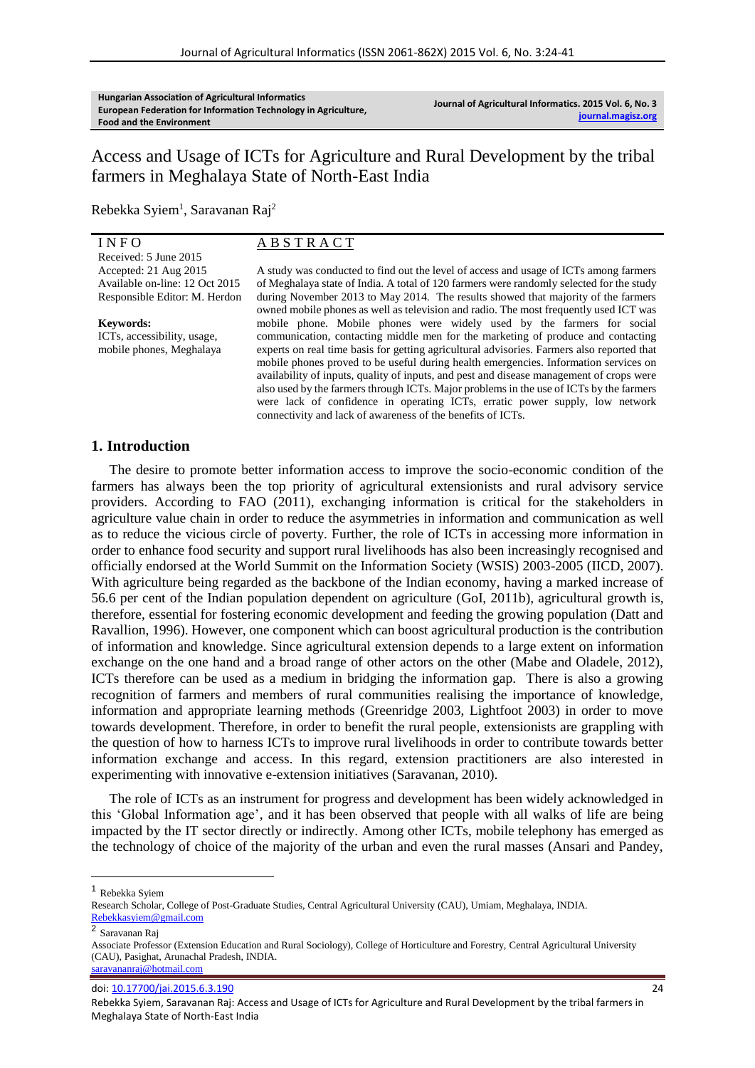**Hungarian Association of Agricultural Informatics European Federation for Information Technology in Agriculture, Food and the Environment**

**Journal of Agricultural Informatics. 2015 Vol. 6, No. 3 [journal.magisz.org](http://journal.magisz.org/)**

# Access and Usage of ICTs for Agriculture and Rural Development by the tribal farmers in Meghalaya State of North-East India

Rebekka Syiem<sup>1</sup>, Saravanan Raj<sup>2</sup>

### I N F O

Received: 5 June 2015 Accepted: 21 Aug 2015 Available on-line: 12 Oct 2015 Responsible Editor: M. Herdon

**Keywords:** ICTs, accessibility, usage, mobile phones, Meghalaya

## A B S T R A C T

A study was conducted to find out the level of access and usage of ICTs among farmers of Meghalaya state of India. A total of 120 farmers were randomly selected for the study during November 2013 to May 2014. The results showed that majority of the farmers owned mobile phones as well as television and radio. The most frequently used ICT was mobile phone. Mobile phones were widely used by the farmers for social communication, contacting middle men for the marketing of produce and contacting experts on real time basis for getting agricultural advisories. Farmers also reported that mobile phones proved to be useful during health emergencies. Information services on availability of inputs, quality of inputs, and pest and disease management of crops were also used by the farmers through ICTs. Major problems in the use of ICTs by the farmers were lack of confidence in operating ICTs, erratic power supply, low network connectivity and lack of awareness of the benefits of ICTs.

### **1. Introduction**

The desire to promote better information access to improve the socio-economic condition of the farmers has always been the top priority of agricultural extensionists and rural advisory service providers. According to FAO (2011), exchanging information is critical for the stakeholders in agriculture value chain in order to reduce the asymmetries in information and communication as well as to reduce the vicious circle of poverty. Further, the role of ICTs in accessing more information in order to enhance food security and support rural livelihoods has also been increasingly recognised and officially endorsed at the World Summit on the Information Society (WSIS) 2003-2005 (IICD, 2007). With agriculture being regarded as the backbone of the Indian economy, having a marked increase of 56.6 per cent of the Indian population dependent on agriculture (GoI, 2011b), agricultural growth is, therefore, essential for fostering economic development and feeding the growing population (Datt and Ravallion, 1996). However, one component which can boost agricultural production is the contribution of information and knowledge. Since agricultural extension depends to a large extent on information exchange on the one hand and a broad range of other actors on the other (Mabe and Oladele, 2012), ICTs therefore can be used as a medium in bridging the information gap. There is also a growing recognition of farmers and members of rural communities realising the importance of knowledge, information and appropriate learning methods (Greenridge 2003, Lightfoot 2003) in order to move towards development. Therefore, in order to benefit the rural people, extensionists are grappling with the question of how to harness ICTs to improve rural livelihoods in order to contribute towards better information exchange and access. In this regard, extension practitioners are also interested in experimenting with innovative e-extension initiatives (Saravanan, 2010).

The role of ICTs as an instrument for progress and development has been widely acknowledged in this 'Global Information age', and it has been observed that people with all walks of life are being impacted by the IT sector directly or indirectly. Among other ICTs, mobile telephony has emerged as the technology of choice of the majority of the urban and even the rural masses (Ansari and Pandey,

**.** 

2 Saravanan Raj

doi: [10.17700/jai.2015.6.3.190](http://dx.doi.org/10.17700/jai.2015.6.3.190) 24

<sup>1</sup> Rebekka Syiem

Research Scholar, College of Post-Graduate Studies, Central Agricultural University (CAU), Umiam, Meghalaya, INDIA. [Rebekkasyiem@gmail.com](mailto:Rebekkasyiem@gmail.com)

Associate Professor (Extension Education and Rural Sociology), College of Horticulture and Forestry, Central Agricultural University (CAU), Pasighat, Arunachal Pradesh, INDIA. [saravananraj@hotmail.com](mailto:saravananraj@hotmail.com)

Rebekka Syiem, Saravanan Raj: Access and Usage of ICTs for Agriculture and Rural Development by the tribal farmers in Meghalaya State of North-East India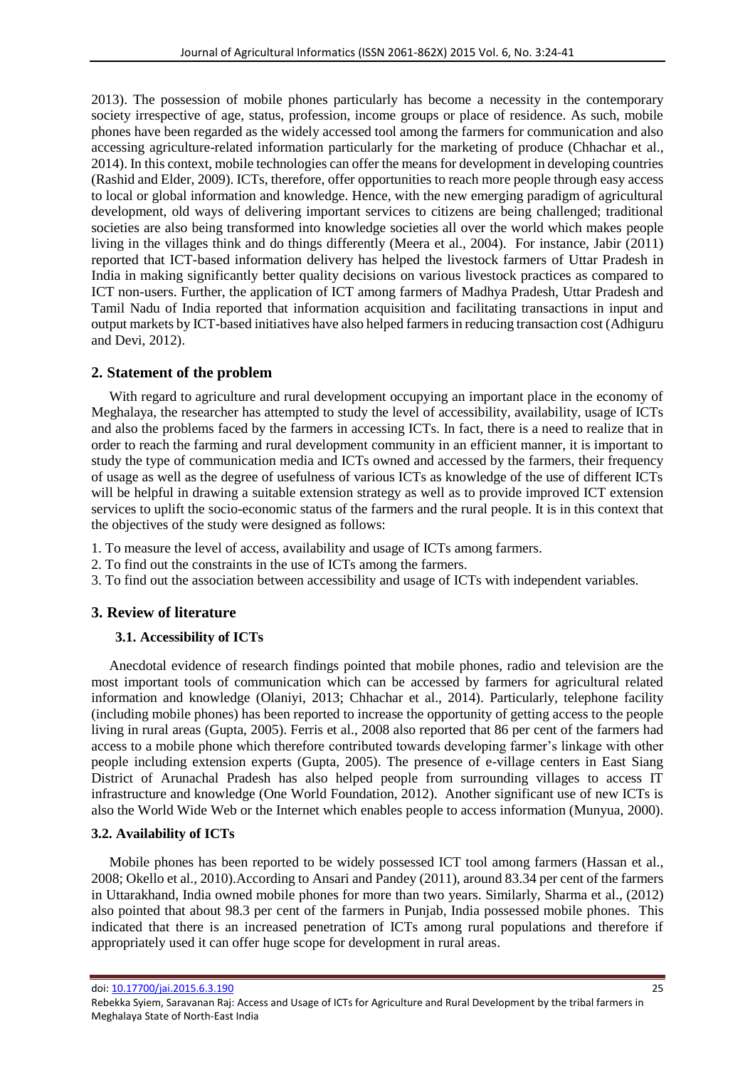2013). The possession of mobile phones particularly has become a necessity in the contemporary society irrespective of age, status, profession, income groups or place of residence. As such, mobile phones have been regarded as the widely accessed tool among the farmers for communication and also accessing agriculture-related information particularly for the marketing of produce (Chhachar et al., 2014). In this context, mobile technologies can offer the means for development in developing countries (Rashid and Elder, 2009). ICTs, therefore, offer opportunities to reach more people through easy access to local or global information and knowledge. Hence, with the new emerging paradigm of agricultural development, old ways of delivering important services to citizens are being challenged; traditional societies are also being transformed into knowledge societies all over the world which makes people living in the villages think and do things differently (Meera et al., 2004). For instance, Jabir (2011) reported that ICT-based information delivery has helped the livestock farmers of Uttar Pradesh in India in making significantly better quality decisions on various livestock practices as compared to ICT non-users. Further, the application of ICT among farmers of Madhya Pradesh, Uttar Pradesh and Tamil Nadu of India reported that information acquisition and facilitating transactions in input and output markets by ICT-based initiatives have also helped farmers in reducing transaction cost (Adhiguru and Devi, 2012).

## **2. Statement of the problem**

With regard to agriculture and rural development occupying an important place in the economy of Meghalaya, the researcher has attempted to study the level of accessibility, availability, usage of ICTs and also the problems faced by the farmers in accessing ICTs. In fact, there is a need to realize that in order to reach the farming and rural development community in an efficient manner, it is important to study the type of communication media and ICTs owned and accessed by the farmers, their frequency of usage as well as the degree of usefulness of various ICTs as knowledge of the use of different ICTs will be helpful in drawing a suitable extension strategy as well as to provide improved ICT extension services to uplift the socio-economic status of the farmers and the rural people. It is in this context that the objectives of the study were designed as follows:

- 1. To measure the level of access, availability and usage of ICTs among farmers.
- 2. To find out the constraints in the use of ICTs among the farmers.
- 3. To find out the association between accessibility and usage of ICTs with independent variables.

## **3. Review of literature**

## **3.1. Accessibility of ICTs**

Anecdotal evidence of research findings pointed that mobile phones, radio and television are the most important tools of communication which can be accessed by farmers for agricultural related information and knowledge (Olaniyi, 2013; Chhachar et al., 2014). Particularly, telephone facility (including mobile phones) has been reported to increase the opportunity of getting access to the people living in rural areas (Gupta, 2005). Ferris et al., 2008 also reported that 86 per cent of the farmers had access to a mobile phone which therefore contributed towards developing farmer's linkage with other people including extension experts (Gupta, 2005). The presence of e-village centers in East Siang District of Arunachal Pradesh has also helped people from surrounding villages to access IT infrastructure and knowledge (One World Foundation, 2012). Another significant use of new ICTs is also the World Wide Web or the Internet which enables people to access information (Munyua, 2000).

### **3.2. Availability of ICTs**

Mobile phones has been reported to be widely possessed ICT tool among farmers (Hassan et al., 2008; Okello et al., 2010).According to Ansari and Pandey (2011), around 83.34 per cent of the farmers in Uttarakhand, India owned mobile phones for more than two years. Similarly, Sharma et al., (2012) also pointed that about 98.3 per cent of the farmers in Punjab, India possessed mobile phones. This indicated that there is an increased penetration of ICTs among rural populations and therefore if appropriately used it can offer huge scope for development in rural areas.

Rebekka Syiem, Saravanan Raj: Access and Usage of ICTs for Agriculture and Rural Development by the tribal farmers in Meghalaya State of North-East India

doi: [10.17700/jai.2015.6.3.190](http://dx.doi.org/10.17700/jai.2015.6.3.190) 25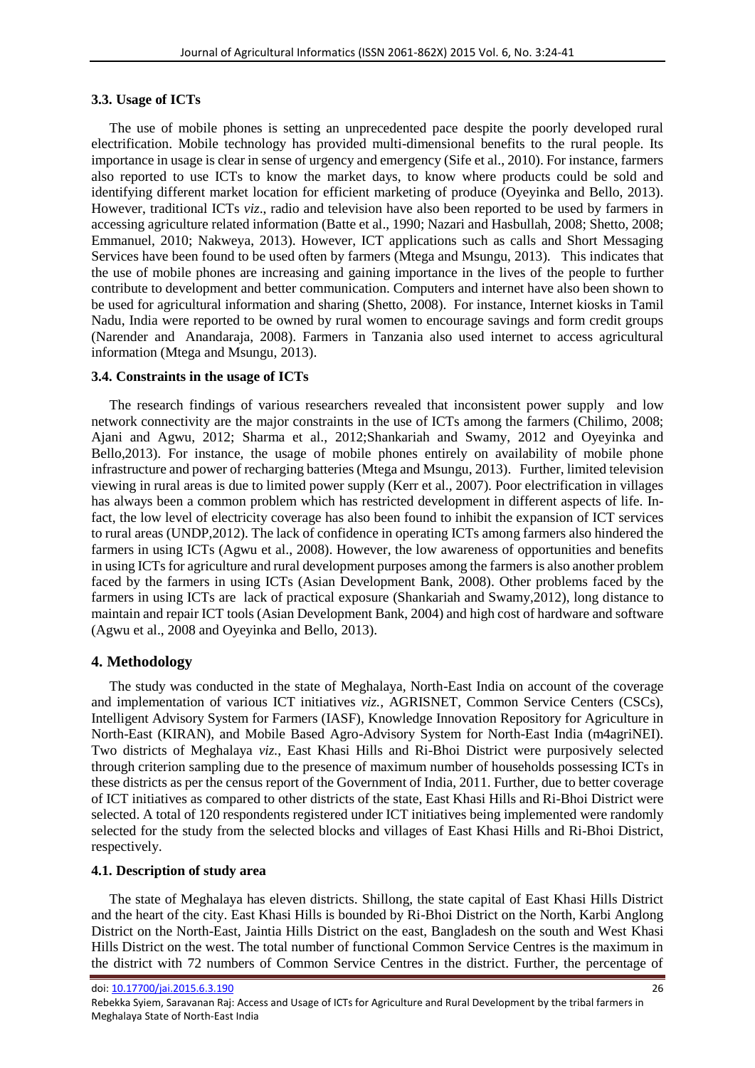### **3.3. Usage of ICTs**

The use of mobile phones is setting an unprecedented pace despite the poorly developed rural electrification. Mobile technology has provided multi-dimensional benefits to the rural people. Its importance in usage is clear in sense of urgency and emergency (Sife et al., 2010). For instance, farmers also reported to use ICTs to know the market days, to know where products could be sold and identifying different market location for efficient marketing of produce (Oyeyinka and Bello, 2013). However, traditional ICTs *viz*., radio and television have also been reported to be used by farmers in accessing agriculture related information (Batte et al., 1990; Nazari and Hasbullah, 2008; Shetto, 2008; Emmanuel, 2010; Nakweya, 2013). However, ICT applications such as calls and Short Messaging Services have been found to be used often by farmers (Mtega and Msungu, 2013). This indicates that the use of mobile phones are increasing and gaining importance in the lives of the people to further contribute to development and better communication. Computers and internet have also been shown to be used for agricultural information and sharing (Shetto, 2008). For instance, Internet kiosks in Tamil Nadu, India were reported to be owned by rural women to encourage savings and form credit groups (Narender and Anandaraja, 2008). Farmers in Tanzania also used internet to access agricultural information (Mtega and Msungu, 2013).

### **3.4. Constraints in the usage of ICTs**

The research findings of various researchers revealed that inconsistent power supply and low network connectivity are the major constraints in the use of ICTs among the farmers (Chilimo, 2008; Ajani and Agwu, 2012; Sharma et al., 2012;Shankariah and Swamy, 2012 and Oyeyinka and Bello,2013). For instance, the usage of mobile phones entirely on availability of mobile phone infrastructure and power of recharging batteries (Mtega and Msungu, 2013). Further, limited television viewing in rural areas is due to limited power supply (Kerr et al., 2007). Poor electrification in villages has always been a common problem which has restricted development in different aspects of life. Infact, the low level of electricity coverage has also been found to inhibit the expansion of ICT services to rural areas (UNDP,2012). The lack of confidence in operating ICTs among farmers also hindered the farmers in using ICTs (Agwu et al., 2008). However, the low awareness of opportunities and benefits in using ICTs for agriculture and rural development purposes among the farmers is also another problem faced by the farmers in using ICTs (Asian Development Bank, 2008). Other problems faced by the farmers in using ICTs are lack of practical exposure (Shankariah and Swamy,2012), long distance to maintain and repair ICT tools (Asian Development Bank, 2004) and high cost of hardware and software (Agwu et al., 2008 and Oyeyinka and Bello, 2013).

### **4. Methodology**

The study was conducted in the state of Meghalaya, North-East India on account of the coverage and implementation of various ICT initiatives *viz.,* AGRISNET, Common Service Centers (CSCs), Intelligent Advisory System for Farmers (IASF), Knowledge Innovation Repository for Agriculture in North-East (KIRAN), and Mobile Based Agro-Advisory System for North-East India (m4agriNEI). Two districts of Meghalaya *viz.*, East Khasi Hills and Ri-Bhoi District were purposively selected through criterion sampling due to the presence of maximum number of households possessing ICTs in these districts as per the census report of the Government of India, 2011. Further, due to better coverage of ICT initiatives as compared to other districts of the state, East Khasi Hills and Ri-Bhoi District were selected. A total of 120 respondents registered under ICT initiatives being implemented were randomly selected for the study from the selected blocks and villages of East Khasi Hills and Ri-Bhoi District, respectively.

### **4.1. Description of study area**

The state of Meghalaya has eleven districts. Shillong, the state capital of East Khasi Hills District and the heart of the city. East Khasi Hills is bounded by Ri-Bhoi District on the North, Karbi Anglong District on the North-East, Jaintia Hills District on the east, Bangladesh on the south and West Khasi Hills District on the west. The total number of functional Common Service Centres is the maximum in the district with 72 numbers of Common Service Centres in the district. Further, the percentage of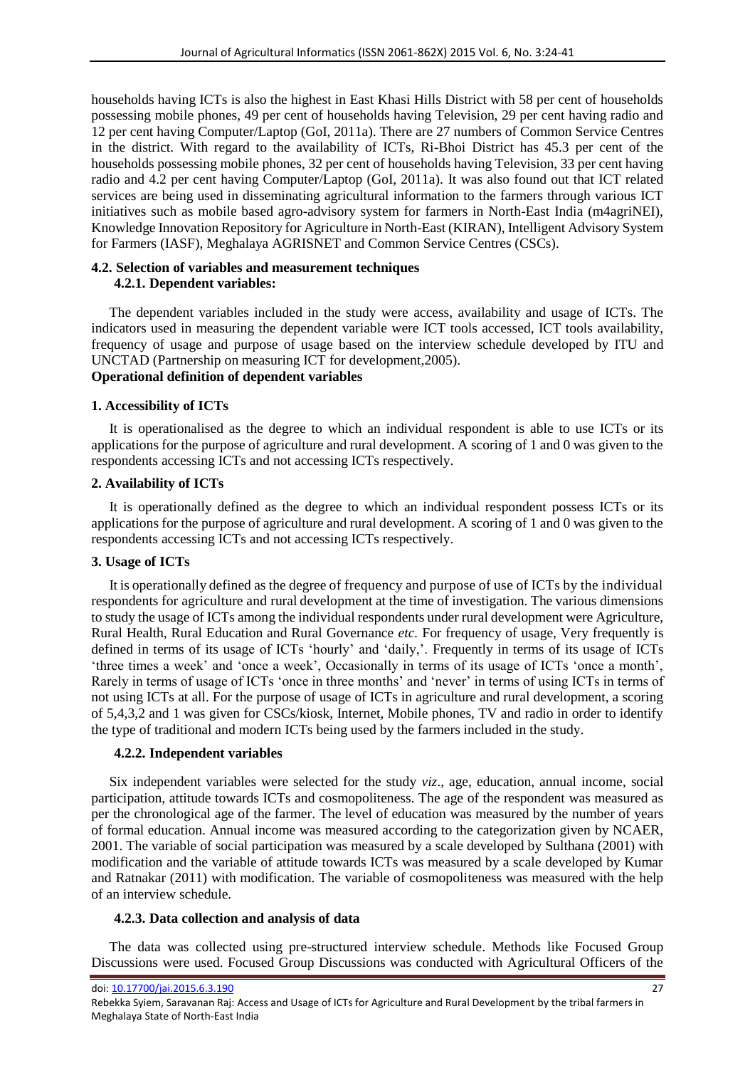households having ICTs is also the highest in East Khasi Hills District with 58 per cent of households possessing mobile phones, 49 per cent of households having Television, 29 per cent having radio and 12 per cent having Computer/Laptop (GoI, 2011a). There are 27 numbers of Common Service Centres in the district. With regard to the availability of ICTs, Ri-Bhoi District has 45.3 per cent of the households possessing mobile phones, 32 per cent of households having Television, 33 per cent having radio and 4.2 per cent having Computer/Laptop (GoI, 2011a). It was also found out that ICT related services are being used in disseminating agricultural information to the farmers through various ICT initiatives such as mobile based agro-advisory system for farmers in North-East India (m4agriNEI), Knowledge Innovation Repository for Agriculture in North-East (KIRAN), Intelligent Advisory System for Farmers (IASF), Meghalaya AGRISNET and Common Service Centres (CSCs).

## **4.2. Selection of variables and measurement techniques**

### **4.2.1. Dependent variables:**

The dependent variables included in the study were access, availability and usage of ICTs. The indicators used in measuring the dependent variable were ICT tools accessed, ICT tools availability, frequency of usage and purpose of usage based on the interview schedule developed by ITU and UNCTAD (Partnership on measuring ICT for development,2005). **Operational definition of dependent variables**

### **1. Accessibility of ICTs**

It is operationalised as the degree to which an individual respondent is able to use ICTs or its applications for the purpose of agriculture and rural development. A scoring of 1 and 0 was given to the respondents accessing ICTs and not accessing ICTs respectively.

### **2. Availability of ICTs**

It is operationally defined as the degree to which an individual respondent possess ICTs or its applications for the purpose of agriculture and rural development. A scoring of 1 and 0 was given to the respondents accessing ICTs and not accessing ICTs respectively.

### **3. Usage of ICTs**

It is operationally defined as the degree of frequency and purpose of use of ICTs by the individual respondents for agriculture and rural development at the time of investigation. The various dimensions to study the usage of ICTs among the individual respondents under rural development were Agriculture, Rural Health, Rural Education and Rural Governance *etc.* For frequency of usage, Very frequently is defined in terms of its usage of ICTs 'hourly' and 'daily,'. Frequently in terms of its usage of ICTs 'three times a week' and 'once a week', Occasionally in terms of its usage of ICTs 'once a month', Rarely in terms of usage of ICTs 'once in three months' and 'never' in terms of using ICTs in terms of not using ICTs at all. For the purpose of usage of ICTs in agriculture and rural development, a scoring of 5,4,3,2 and 1 was given for CSCs/kiosk, Internet, Mobile phones, TV and radio in order to identify the type of traditional and modern ICTs being used by the farmers included in the study.

### **4.2.2. Independent variables**

Six independent variables were selected for the study *viz*., age, education, annual income, social participation, attitude towards ICTs and cosmopoliteness. The age of the respondent was measured as per the chronological age of the farmer. The level of education was measured by the number of years of formal education. Annual income was measured according to the categorization given by NCAER, 2001. The variable of social participation was measured by a scale developed by Sulthana (2001) with modification and the variable of attitude towards ICTs was measured by a scale developed by Kumar and Ratnakar (2011) with modification. The variable of cosmopoliteness was measured with the help of an interview schedule.

### **4.2.3. Data collection and analysis of data**

The data was collected using pre-structured interview schedule. Methods like Focused Group Discussions were used. Focused Group Discussions was conducted with Agricultural Officers of the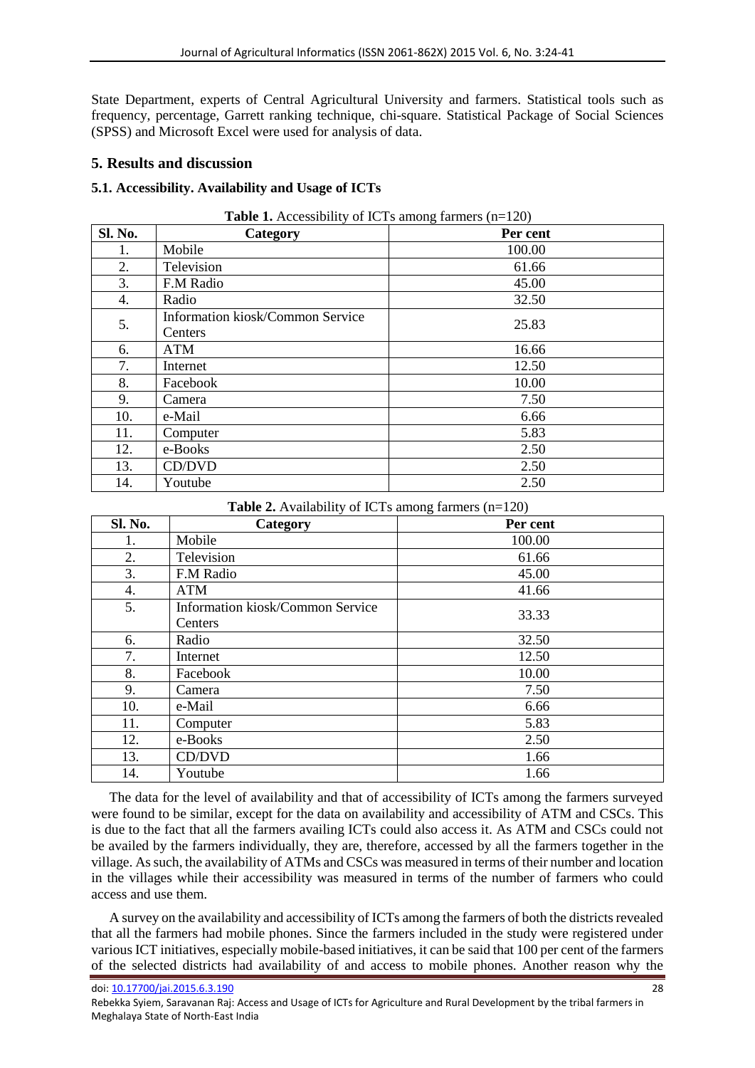State Department, experts of Central Agricultural University and farmers. Statistical tools such as frequency, percentage, Garrett ranking technique, chi-square. Statistical Package of Social Sciences (SPSS) and Microsoft Excel were used for analysis of data.

## **5. Results and discussion**

## **5.1. Accessibility. Availability and Usage of ICTs**

| <b>Sl. No.</b> | Category                                    | Per cent |
|----------------|---------------------------------------------|----------|
| 1.             | Mobile                                      | 100.00   |
| 2.             | Television                                  | 61.66    |
| 3.             | F.M Radio                                   | 45.00    |
| 4.             | Radio                                       | 32.50    |
| 5.             | Information kiosk/Common Service<br>Centers | 25.83    |
| 6.             | <b>ATM</b>                                  | 16.66    |
| 7.             | Internet                                    | 12.50    |
| 8.             | Facebook                                    | 10.00    |
| 9.             | Camera                                      | 7.50     |
| 10.            | e-Mail                                      | 6.66     |
| 11.            | Computer                                    | 5.83     |
| 12.            | e-Books                                     | 2.50     |
| 13.            | CD/DVD                                      | 2.50     |
| 14.            | Youtube                                     | 2.50     |

## **Table 1.** Accessibility of ICTs among farmers (n=120)

**Table 2.** Availability of ICTs among farmers (n=120)

| Sl. No. | Category                                    | Per cent |
|---------|---------------------------------------------|----------|
| 1.      | Mobile                                      | 100.00   |
| 2.      | Television                                  | 61.66    |
| 3.      | F.M Radio                                   | 45.00    |
| 4.      | <b>ATM</b>                                  | 41.66    |
| 5.      | Information kiosk/Common Service<br>Centers | 33.33    |
| 6.      | Radio                                       | 32.50    |
| 7.      | Internet                                    | 12.50    |
| 8.      | Facebook                                    | 10.00    |
| 9.      | Camera                                      | 7.50     |
| 10.     | e-Mail                                      | 6.66     |
| 11.     | Computer                                    | 5.83     |
| 12.     | e-Books                                     | 2.50     |
| 13.     | CD/DVD                                      | 1.66     |
| 14.     | Youtube                                     | 1.66     |

The data for the level of availability and that of accessibility of ICTs among the farmers surveyed were found to be similar, except for the data on availability and accessibility of ATM and CSCs. This is due to the fact that all the farmers availing ICTs could also access it. As ATM and CSCs could not be availed by the farmers individually, they are, therefore, accessed by all the farmers together in the village. As such, the availability of ATMs and CSCs was measured in terms of their number and location in the villages while their accessibility was measured in terms of the number of farmers who could access and use them.

A survey on the availability and accessibility of ICTs among the farmers of both the districts revealed that all the farmers had mobile phones. Since the farmers included in the study were registered under various ICT initiatives, especially mobile-based initiatives, it can be said that 100 per cent of the farmers of the selected districts had availability of and access to mobile phones. Another reason why the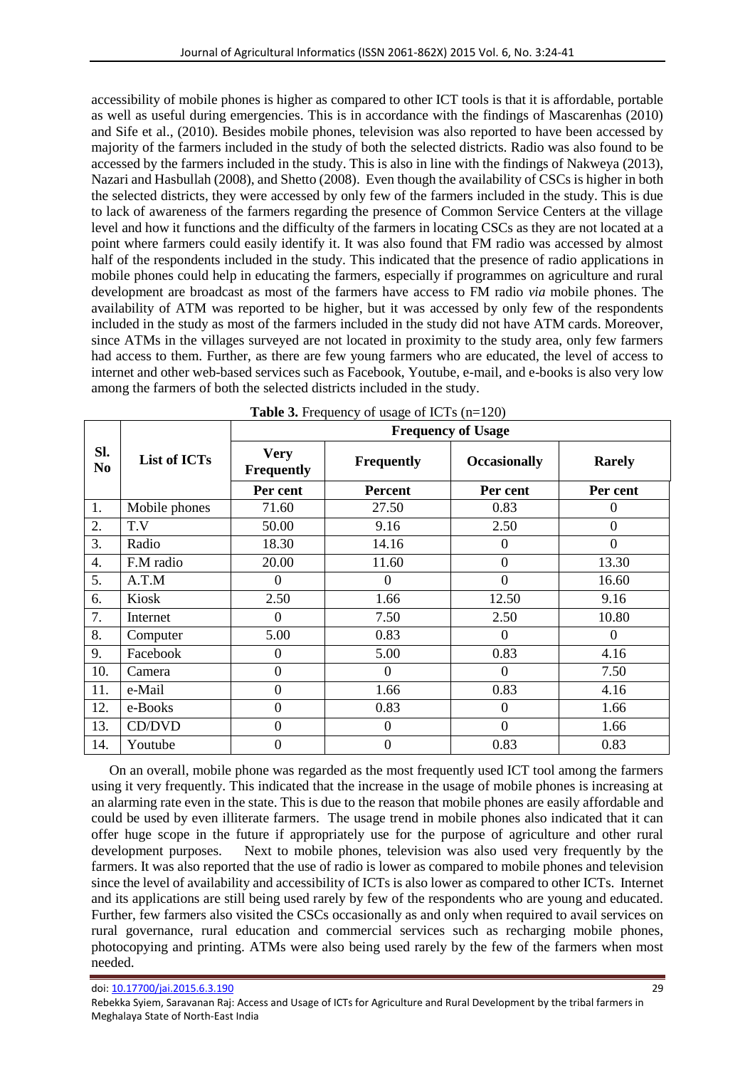accessibility of mobile phones is higher as compared to other ICT tools is that it is affordable, portable as well as useful during emergencies. This is in accordance with the findings of Mascarenhas (2010) and Sife et al., (2010). Besides mobile phones, television was also reported to have been accessed by majority of the farmers included in the study of both the selected districts. Radio was also found to be accessed by the farmers included in the study. This is also in line with the findings of Nakweya (2013), Nazari and Hasbullah (2008), and Shetto (2008). Even though the availability of CSCs is higher in both the selected districts, they were accessed by only few of the farmers included in the study. This is due to lack of awareness of the farmers regarding the presence of Common Service Centers at the village level and how it functions and the difficulty of the farmers in locating CSCs as they are not located at a point where farmers could easily identify it. It was also found that FM radio was accessed by almost half of the respondents included in the study. This indicated that the presence of radio applications in mobile phones could help in educating the farmers, especially if programmes on agriculture and rural development are broadcast as most of the farmers have access to FM radio *via* mobile phones. The availability of ATM was reported to be higher, but it was accessed by only few of the respondents included in the study as most of the farmers included in the study did not have ATM cards. Moreover, since ATMs in the villages surveyed are not located in proximity to the study area, only few farmers had access to them. Further, as there are few young farmers who are educated, the level of access to internet and other web-based services such as Facebook, Youtube, e-mail, and e-books is also very low among the farmers of both the selected districts included in the study. **Table 3.** Frequency of usage of ICTs (n=120)

|                       |               | <b>Frequency of Usage</b>        |                   |                     |                |  |  |
|-----------------------|---------------|----------------------------------|-------------------|---------------------|----------------|--|--|
| SI.<br>N <sub>0</sub> | List of ICTs  | <b>Very</b><br><b>Frequently</b> | <b>Frequently</b> | <b>Occasionally</b> | <b>Rarely</b>  |  |  |
|                       |               | Per cent                         | <b>Percent</b>    | Per cent            | Per cent       |  |  |
| 1.                    | Mobile phones | 71.60                            | 27.50             | 0.83                | 0              |  |  |
| 2.                    | T.V           | 50.00                            | 9.16              | 2.50                | $\theta$       |  |  |
| 3.                    | Radio         | 18.30                            | 14.16             | $\Omega$            | $\overline{0}$ |  |  |
| 4.                    | F.M radio     | 20.00                            | 11.60             | $\overline{0}$      | 13.30          |  |  |
| 5.                    | A.T.M         | $\theta$                         | $\overline{0}$    | $\overline{0}$      | 16.60          |  |  |
| 6.                    | Kiosk         | 2.50                             | 1.66              | 12.50               | 9.16           |  |  |
| 7.                    | Internet      | $\theta$                         | 7.50              | 2.50                | 10.80          |  |  |
| 8.                    | Computer      | 5.00                             | 0.83              | $\Omega$            | $\theta$       |  |  |
| 9.                    | Facebook      | $\boldsymbol{0}$                 | 5.00              | 0.83                | 4.16           |  |  |
| 10.                   | Camera        | $\boldsymbol{0}$                 | $\Omega$          | $\Omega$            | 7.50           |  |  |
| 11.                   | e-Mail        | $\boldsymbol{0}$                 | 1.66              | 0.83                | 4.16           |  |  |
| 12.                   | e-Books       | $\boldsymbol{0}$                 | 0.83              | 0                   | 1.66           |  |  |
| 13.                   | CD/DVD        | $\theta$                         | $\overline{0}$    | $\overline{0}$      | 1.66           |  |  |
| 14.                   | Youtube       | $\boldsymbol{0}$                 | $\boldsymbol{0}$  | 0.83                | 0.83           |  |  |

On an overall, mobile phone was regarded as the most frequently used ICT tool among the farmers using it very frequently. This indicated that the increase in the usage of mobile phones is increasing at an alarming rate even in the state. This is due to the reason that mobile phones are easily affordable and could be used by even illiterate farmers. The usage trend in mobile phones also indicated that it can offer huge scope in the future if appropriately use for the purpose of agriculture and other rural development purposes. Next to mobile phones, television was also used very frequently by the farmers. It was also reported that the use of radio is lower as compared to mobile phones and television since the level of availability and accessibility of ICTs is also lower as compared to other ICTs. Internet and its applications are still being used rarely by few of the respondents who are young and educated. Further, few farmers also visited the CSCs occasionally as and only when required to avail services on rural governance, rural education and commercial services such as recharging mobile phones, photocopying and printing. ATMs were also being used rarely by the few of the farmers when most needed.

doi: [10.17700/jai.2015.6.3.190](http://dx.doi.org/10.17700/jai.2015.6.3.190) 29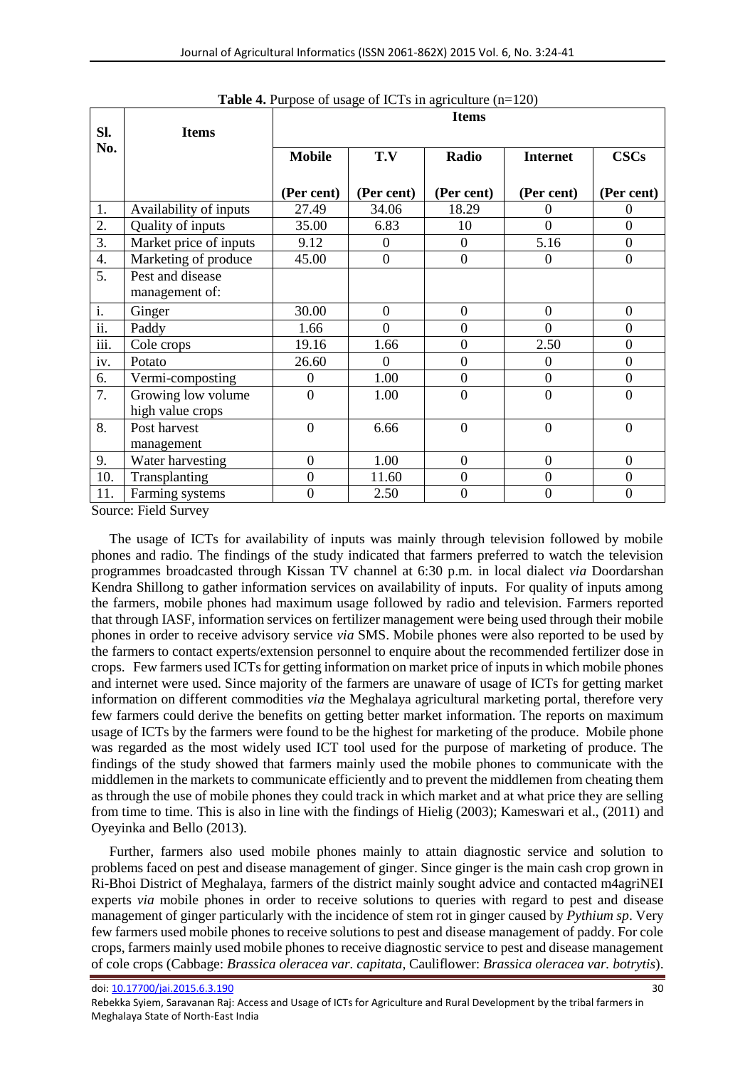| SI.                       | <b>Items</b>                           | <b>Items</b>   |                  |                  |                  |                  |  |  |
|---------------------------|----------------------------------------|----------------|------------------|------------------|------------------|------------------|--|--|
| No.                       |                                        | <b>Mobile</b>  | T.V              | Radio            | <b>Internet</b>  | <b>CSCs</b>      |  |  |
|                           |                                        | (Per cent)     | (Per cent)       | (Per cent)       | (Per cent)       | (Per cent)       |  |  |
| 1.                        | Availability of inputs                 | 27.49          | 34.06            | 18.29            | 0                | $\Omega$         |  |  |
| 2.                        | Quality of inputs                      | 35.00          | 6.83             | 10               | $\overline{0}$   | $\mathbf{0}$     |  |  |
| $\overline{3}$ .          | Market price of inputs                 | 9.12           | $\boldsymbol{0}$ | $\boldsymbol{0}$ | 5.16             | $\boldsymbol{0}$ |  |  |
| 4.                        | Marketing of produce                   | 45.00          | $\overline{0}$   | $\mathbf{0}$     | $\Omega$         | $\overline{0}$   |  |  |
| 5.                        | Pest and disease<br>management of:     |                |                  |                  |                  |                  |  |  |
| i.                        | Ginger                                 | 30.00          | $\overline{0}$   | $\mathbf{0}$     | $\theta$         | $\boldsymbol{0}$ |  |  |
| ii.                       | Paddy                                  | 1.66           | $\overline{0}$   | $\mathbf{0}$     | $\overline{0}$   | $\boldsymbol{0}$ |  |  |
| $\overline{\text{iii}}$ . | Cole crops                             | 19.16          | 1.66             | $\overline{0}$   | 2.50             | $\mathbf{0}$     |  |  |
| iv.                       | Potato                                 | 26.60          | $\overline{0}$   | $\overline{0}$   | $\theta$         | $\overline{0}$   |  |  |
| 6.                        | Vermi-composting                       | $\overline{0}$ | 1.00             | $\mathbf{0}$     | $\boldsymbol{0}$ | $\boldsymbol{0}$ |  |  |
| 7.                        | Growing low volume<br>high value crops | $\theta$       | 1.00             | $\overline{0}$   | $\overline{0}$   | $\overline{0}$   |  |  |
| 8.                        | Post harvest<br>management             | $\overline{0}$ | 6.66             | $\overline{0}$   | $\overline{0}$   | $\theta$         |  |  |
| 9.                        | Water harvesting                       | $\overline{0}$ | 1.00             | $\overline{0}$   | $\theta$         | $\overline{0}$   |  |  |
| 10.                       | Transplanting                          | $\mathbf{0}$   | 11.60            | $\boldsymbol{0}$ | $\boldsymbol{0}$ | $\boldsymbol{0}$ |  |  |
| 11.                       | Farming systems                        | $\mathbf{0}$   | 2.50             | $\boldsymbol{0}$ | $\boldsymbol{0}$ | $\boldsymbol{0}$ |  |  |

**Table 4.** Purpose of usage of ICTs in agriculture (n=120)

Source: Field Survey

The usage of ICTs for availability of inputs was mainly through television followed by mobile phones and radio. The findings of the study indicated that farmers preferred to watch the television programmes broadcasted through Kissan TV channel at 6:30 p.m. in local dialect *via* Doordarshan Kendra Shillong to gather information services on availability of inputs. For quality of inputs among the farmers, mobile phones had maximum usage followed by radio and television. Farmers reported that through IASF, information services on fertilizer management were being used through their mobile phones in order to receive advisory service *via* SMS. Mobile phones were also reported to be used by the farmers to contact experts/extension personnel to enquire about the recommended fertilizer dose in crops. Few farmers used ICTs for getting information on market price of inputs in which mobile phones and internet were used. Since majority of the farmers are unaware of usage of ICTs for getting market information on different commodities *via* the Meghalaya agricultural marketing portal, therefore very few farmers could derive the benefits on getting better market information. The reports on maximum usage of ICTs by the farmers were found to be the highest for marketing of the produce. Mobile phone was regarded as the most widely used ICT tool used for the purpose of marketing of produce. The findings of the study showed that farmers mainly used the mobile phones to communicate with the middlemen in the markets to communicate efficiently and to prevent the middlemen from cheating them as through the use of mobile phones they could track in which market and at what price they are selling from time to time. This is also in line with the findings of Hielig (2003); Kameswari et al., (2011) and Oyeyinka and Bello (2013).

Further, farmers also used mobile phones mainly to attain diagnostic service and solution to problems faced on pest and disease management of ginger. Since ginger is the main cash crop grown in Ri-Bhoi District of Meghalaya, farmers of the district mainly sought advice and contacted m4agriNEI experts *via* mobile phones in order to receive solutions to queries with regard to pest and disease management of ginger particularly with the incidence of stem rot in ginger caused by *Pythium sp*. Very few farmers used mobile phones to receive solutions to pest and disease management of paddy. For cole crops, farmers mainly used mobile phones to receive diagnostic service to pest and disease management of cole crops (Cabbage: *Brassica oleracea var. capitata*, Cauliflower: *Brassica oleracea var. botrytis*).

doi: [10.17700/jai.2015.6.3.190](http://dx.doi.org/10.17700/jai.2015.6.3.190) 30

Rebekka Syiem, Saravanan Raj: Access and Usage of ICTs for Agriculture and Rural Development by the tribal farmers in Meghalaya State of North-East India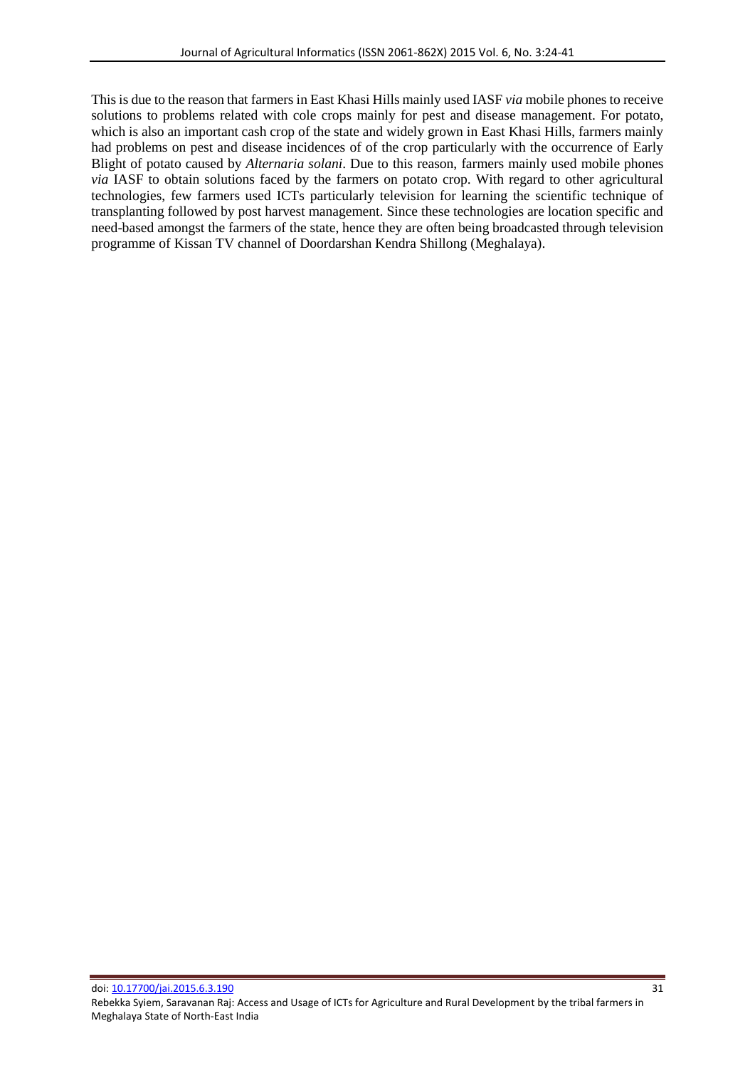This is due to the reason that farmers in East Khasi Hills mainly used IASF *via* mobile phones to receive solutions to problems related with cole crops mainly for pest and disease management. For potato, which is also an important cash crop of the state and widely grown in East Khasi Hills, farmers mainly had problems on pest and disease incidences of of the crop particularly with the occurrence of Early Blight of potato caused by *Alternaria solani*. Due to this reason, farmers mainly used mobile phones *via* IASF to obtain solutions faced by the farmers on potato crop. With regard to other agricultural technologies, few farmers used ICTs particularly television for learning the scientific technique of transplanting followed by post harvest management. Since these technologies are location specific and need-based amongst the farmers of the state, hence they are often being broadcasted through television programme of Kissan TV channel of Doordarshan Kendra Shillong (Meghalaya).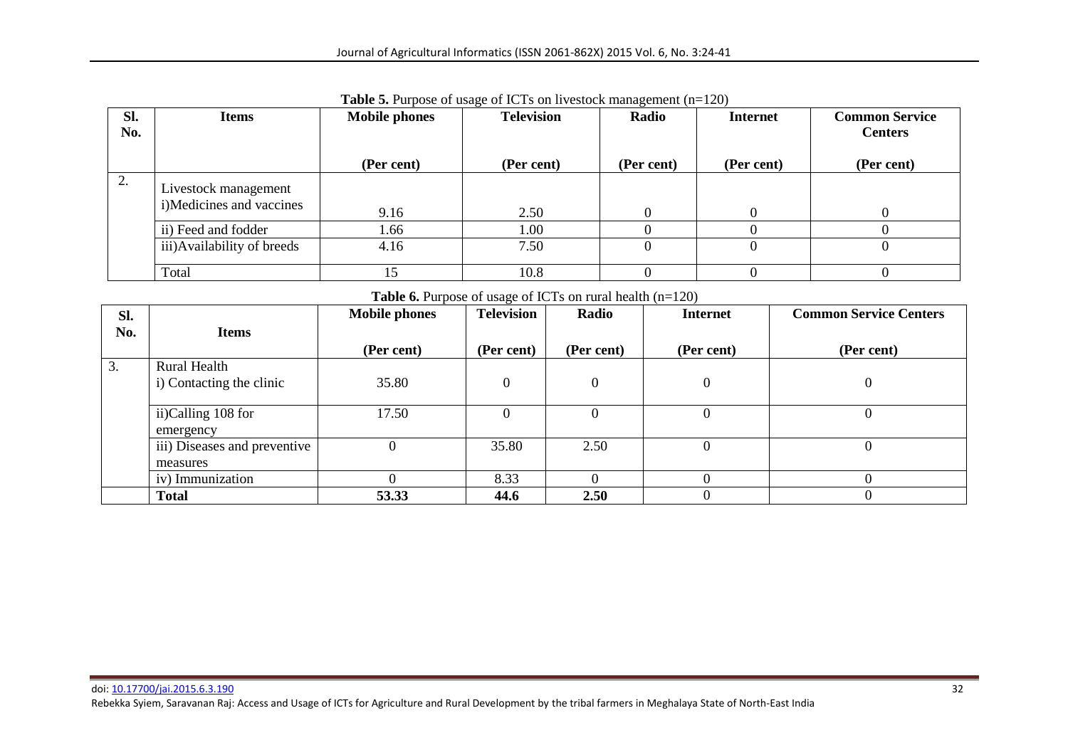| SI.<br>No. | <b>Items</b>                                     | <b>Mobile phones</b> | <b>Television</b> | Radio      | <b>Internet</b> | <b>Common Service</b><br><b>Centers</b> |
|------------|--------------------------------------------------|----------------------|-------------------|------------|-----------------|-----------------------------------------|
|            |                                                  | (Per cent)           | (Per cent)        | (Per cent) | (Per cent)      | (Per cent)                              |
| 2.         | Livestock management<br>i)Medicines and vaccines | 9.16                 | 2.50              |            |                 |                                         |
|            | ii) Feed and fodder                              | 1.66                 | 00.1              |            |                 |                                         |
|            | iii) Availability of breeds                      | 4.16                 | 7.50              |            |                 |                                         |
|            | Total                                            | 15                   | 10.8              |            |                 |                                         |

**Table 5.** Purpose of usage of ICTs on livestock management (n=120)

**Table 6.** Purpose of usage of ICTs on rural health (n=120)

| Sl. |                              | <b>Mobile phones</b> | <b>Television</b> | Radio      | <b>Internet</b>  | <b>Common Service Centers</b> |
|-----|------------------------------|----------------------|-------------------|------------|------------------|-------------------------------|
| No. | <b>Items</b>                 |                      |                   |            |                  |                               |
|     |                              | (Per cent)           | (Per cent)        | (Per cent) | (Per cent)       | (Per cent)                    |
| 3.  | Rural Health                 |                      |                   |            |                  |                               |
|     | i) Contacting the clinic     | 35.80                | 0                 | $\Omega$   | $\boldsymbol{0}$ | U                             |
|     | ii)Calling 108 for           | 17.50                |                   |            |                  |                               |
|     | emergency                    |                      |                   |            |                  |                               |
|     | iii) Diseases and preventive |                      | 35.80             | 2.50       |                  |                               |
|     | measures                     |                      |                   |            |                  |                               |
|     | iv) Immunization             |                      | 8.33              |            |                  |                               |
|     | <b>Total</b>                 | 53.33                | 44.6              | 2.50       |                  |                               |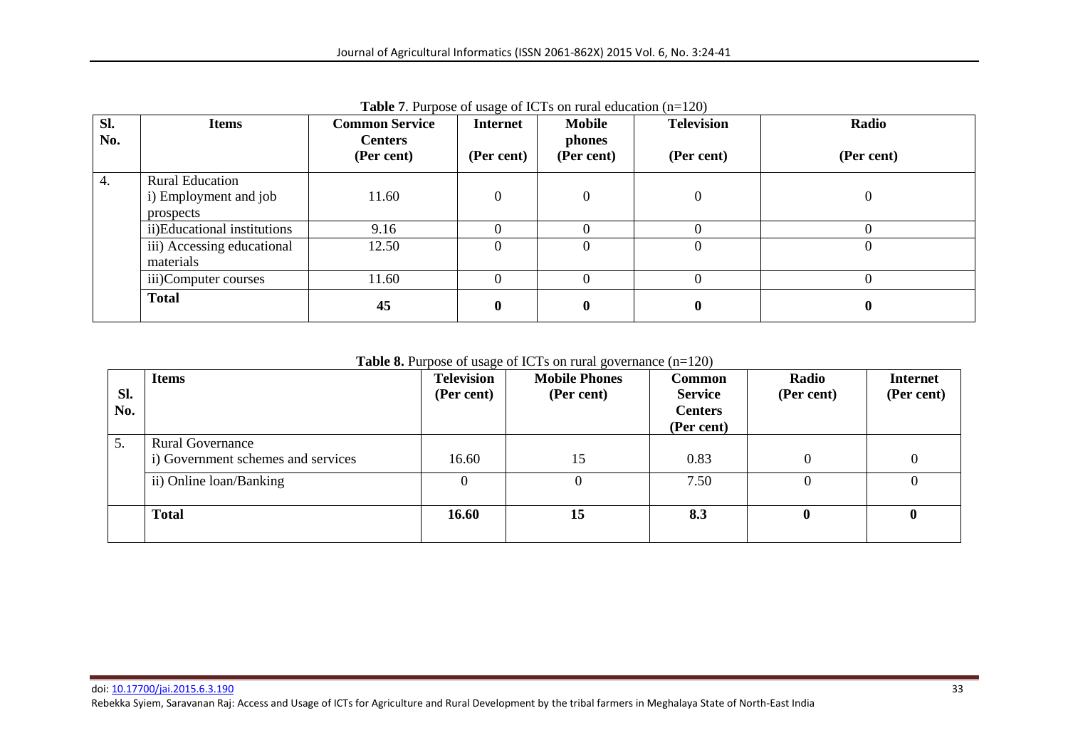| Sl.<br>No. | <b>Items</b>                                                 | <b>Common Service</b><br><b>Centers</b><br>(Per cent) | <b>Internet</b><br>(Per cent) | <b>Mobile</b><br>phones<br>(Per cent) | <b>Television</b><br>(Per cent) | Radio<br>(Per cent) |
|------------|--------------------------------------------------------------|-------------------------------------------------------|-------------------------------|---------------------------------------|---------------------------------|---------------------|
| 4.         | <b>Rural Education</b><br>i) Employment and job<br>prospects | 11.60                                                 | 0                             | 0                                     |                                 | $\mathbf{0}$        |
|            | ii)Educational institutions                                  | 9.16                                                  |                               |                                       |                                 |                     |
|            | iii) Accessing educational<br>materials                      | 12.50                                                 | 0                             |                                       |                                 | $\Omega$            |
|            | iii)Computer courses                                         | 11.60                                                 |                               |                                       |                                 | $\Omega$            |
|            | <b>Total</b>                                                 | 45                                                    | $\bf{0}$                      | 0                                     |                                 | 0                   |

**Table 7**. Purpose of usage of ICTs on rural education (n=120)

**Table 8.** Purpose of usage of ICTs on rural governance (n=120)

| Sl.<br>No. | <b>Items</b>                                                  | <b>Television</b><br>(Per cent) | <b>Mobile Phones</b><br>(Per cent) | Common<br><b>Service</b><br><b>Centers</b><br>(Per cent) | Radio<br>(Per cent) | <b>Internet</b><br>(Per cent) |
|------------|---------------------------------------------------------------|---------------------------------|------------------------------------|----------------------------------------------------------|---------------------|-------------------------------|
| Ć.         | <b>Rural Governance</b><br>i) Government schemes and services | 16.60                           | 15                                 | 0.83                                                     | $\theta$            |                               |
|            | ii) Online loan/Banking                                       |                                 |                                    | 7.50                                                     |                     |                               |
|            | Total                                                         | 16.60                           | 15                                 | 8.3                                                      |                     |                               |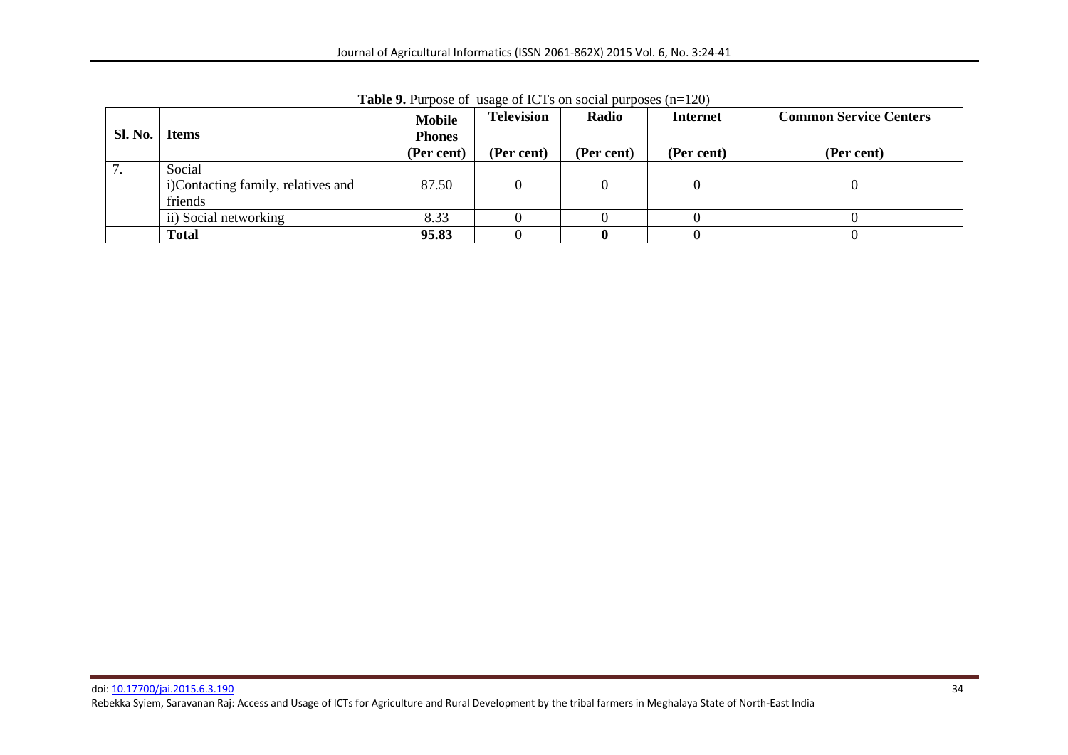Journal of Agricultural Informatics (ISSN 2061-862X) 2015 Vol. 6, No. 3:24-41

|                 |                                                         | <b>Mobile</b>               | <b>Television</b> | Radio      | <b>Internet</b> | <b>Common Service Centers</b> |
|-----------------|---------------------------------------------------------|-----------------------------|-------------------|------------|-----------------|-------------------------------|
| Sl. No.   Items |                                                         | <b>Phones</b><br>(Per cent) | (Per cent)        | (Per cent) | (Per cent)      | (Per cent)                    |
| .               | Social<br>i)Contacting family, relatives and<br>friends | 87.50                       |                   |            |                 |                               |
|                 | ii) Social networking                                   | 8.33                        |                   |            |                 |                               |
|                 | Total                                                   | 95.83                       |                   |            |                 |                               |

**Table 9.** Purpose of usage of ICTs on social purposes (n=120)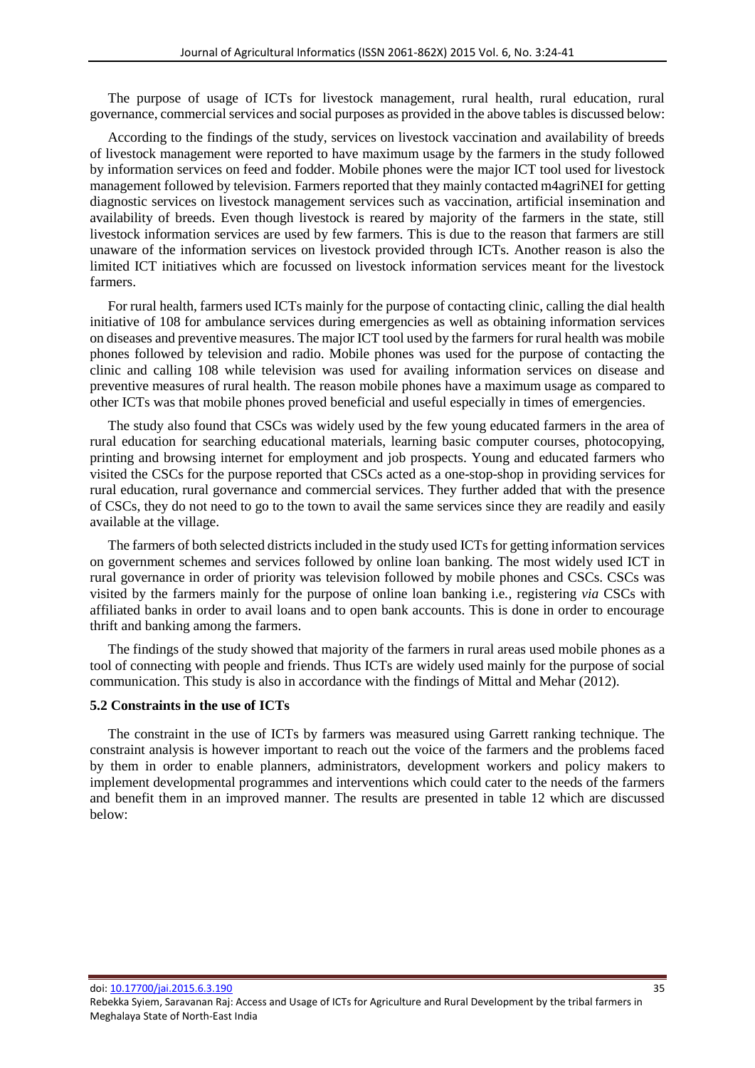The purpose of usage of ICTs for livestock management, rural health, rural education, rural governance, commercial services and social purposes as provided in the above tables is discussed below:

According to the findings of the study, services on livestock vaccination and availability of breeds of livestock management were reported to have maximum usage by the farmers in the study followed by information services on feed and fodder. Mobile phones were the major ICT tool used for livestock management followed by television. Farmers reported that they mainly contacted m4agriNEI for getting diagnostic services on livestock management services such as vaccination, artificial insemination and availability of breeds. Even though livestock is reared by majority of the farmers in the state, still livestock information services are used by few farmers. This is due to the reason that farmers are still unaware of the information services on livestock provided through ICTs. Another reason is also the limited ICT initiatives which are focussed on livestock information services meant for the livestock farmers.

For rural health, farmers used ICTs mainly for the purpose of contacting clinic, calling the dial health initiative of 108 for ambulance services during emergencies as well as obtaining information services on diseases and preventive measures. The major ICT tool used by the farmers for rural health was mobile phones followed by television and radio. Mobile phones was used for the purpose of contacting the clinic and calling 108 while television was used for availing information services on disease and preventive measures of rural health. The reason mobile phones have a maximum usage as compared to other ICTs was that mobile phones proved beneficial and useful especially in times of emergencies.

The study also found that CSCs was widely used by the few young educated farmers in the area of rural education for searching educational materials, learning basic computer courses, photocopying, printing and browsing internet for employment and job prospects. Young and educated farmers who visited the CSCs for the purpose reported that CSCs acted as a one-stop-shop in providing services for rural education, rural governance and commercial services. They further added that with the presence of CSCs, they do not need to go to the town to avail the same services since they are readily and easily available at the village.

The farmers of both selected districts included in the study used ICTs for getting information services on government schemes and services followed by online loan banking. The most widely used ICT in rural governance in order of priority was television followed by mobile phones and CSCs. CSCs was visited by the farmers mainly for the purpose of online loan banking i.e*.,* registering *via* CSCs with affiliated banks in order to avail loans and to open bank accounts. This is done in order to encourage thrift and banking among the farmers.

The findings of the study showed that majority of the farmers in rural areas used mobile phones as a tool of connecting with people and friends. Thus ICTs are widely used mainly for the purpose of social communication. This study is also in accordance with the findings of Mittal and Mehar (2012).

### **5.2 Constraints in the use of ICTs**

The constraint in the use of ICTs by farmers was measured using Garrett ranking technique. The constraint analysis is however important to reach out the voice of the farmers and the problems faced by them in order to enable planners, administrators, development workers and policy makers to implement developmental programmes and interventions which could cater to the needs of the farmers and benefit them in an improved manner. The results are presented in table 12 which are discussed below: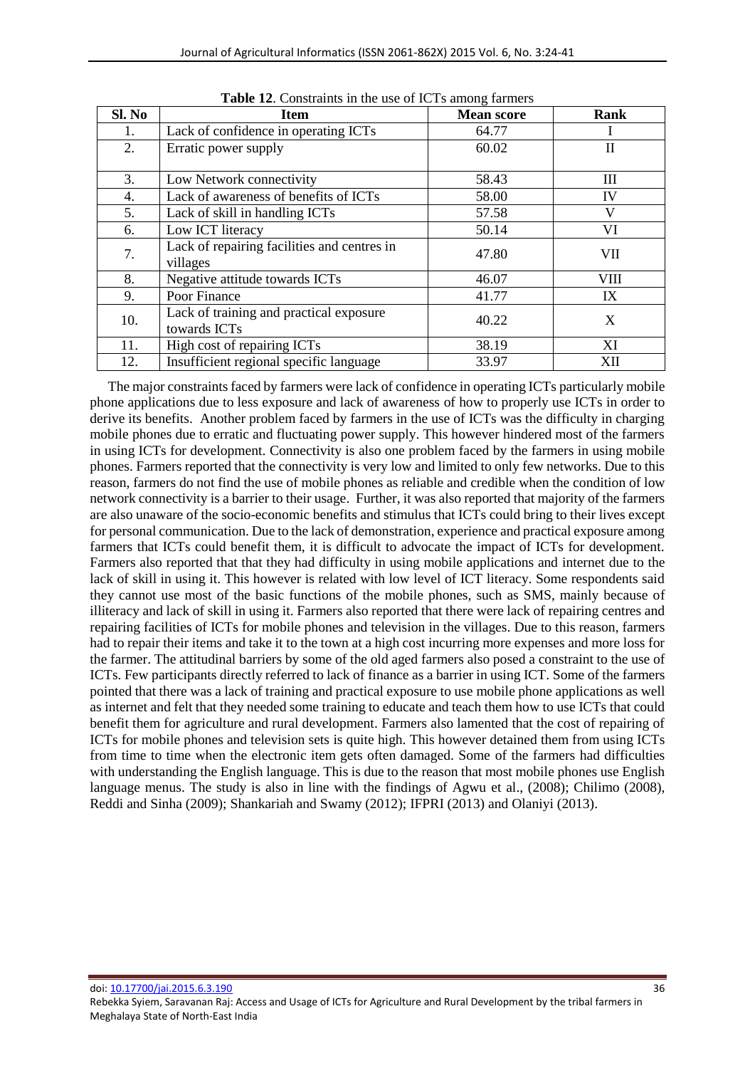| Sl. No | <b>Item</b>                                 | <b>Mean score</b> | <b>Rank</b> |
|--------|---------------------------------------------|-------------------|-------------|
| 1.     | Lack of confidence in operating ICTs        | 64.77             |             |
| 2.     | Erratic power supply                        | 60.02             | П           |
|        |                                             |                   |             |
| 3.     | Low Network connectivity                    | 58.43             | Ш           |
| 4.     | Lack of awareness of benefits of ICTs       | 58.00             | IV          |
| 5.     | Lack of skill in handling ICTs              | 57.58             | V           |
| 6.     | Low ICT literacy                            | 50.14             | VI          |
| 7.     | Lack of repairing facilities and centres in | 47.80             | VII         |
|        | villages                                    |                   |             |
| 8.     | Negative attitude towards ICTs              | 46.07             | VIII        |
| 9.     | Poor Finance                                | 41.77             | IX          |
| 10.    | Lack of training and practical exposure     | 40.22             | X           |
|        | towards ICTs                                |                   |             |
| 11.    | High cost of repairing ICTs                 | 38.19             | XI          |
| 12.    | Insufficient regional specific language     | 33.97             | XII         |

Table 12. Constraints in the use of ICTs among farmers

The major constraints faced by farmers were lack of confidence in operating ICTs particularly mobile phone applications due to less exposure and lack of awareness of how to properly use ICTs in order to derive its benefits. Another problem faced by farmers in the use of ICTs was the difficulty in charging mobile phones due to erratic and fluctuating power supply. This however hindered most of the farmers in using ICTs for development. Connectivity is also one problem faced by the farmers in using mobile phones. Farmers reported that the connectivity is very low and limited to only few networks. Due to this reason, farmers do not find the use of mobile phones as reliable and credible when the condition of low network connectivity is a barrier to their usage. Further, it was also reported that majority of the farmers are also unaware of the socio-economic benefits and stimulus that ICTs could bring to their lives except for personal communication. Due to the lack of demonstration, experience and practical exposure among farmers that ICTs could benefit them, it is difficult to advocate the impact of ICTs for development. Farmers also reported that that they had difficulty in using mobile applications and internet due to the lack of skill in using it. This however is related with low level of ICT literacy. Some respondents said they cannot use most of the basic functions of the mobile phones, such as SMS, mainly because of illiteracy and lack of skill in using it. Farmers also reported that there were lack of repairing centres and repairing facilities of ICTs for mobile phones and television in the villages. Due to this reason, farmers had to repair their items and take it to the town at a high cost incurring more expenses and more loss for the farmer. The attitudinal barriers by some of the old aged farmers also posed a constraint to the use of ICTs. Few participants directly referred to lack of finance as a barrier in using ICT. Some of the farmers pointed that there was a lack of training and practical exposure to use mobile phone applications as well as internet and felt that they needed some training to educate and teach them how to use ICTs that could benefit them for agriculture and rural development. Farmers also lamented that the cost of repairing of ICTs for mobile phones and television sets is quite high. This however detained them from using ICTs from time to time when the electronic item gets often damaged. Some of the farmers had difficulties with understanding the English language. This is due to the reason that most mobile phones use English language menus. The study is also in line with the findings of Agwu et al., (2008); Chilimo (2008), Reddi and Sinha (2009); Shankariah and Swamy (2012); IFPRI (2013) and Olaniyi (2013).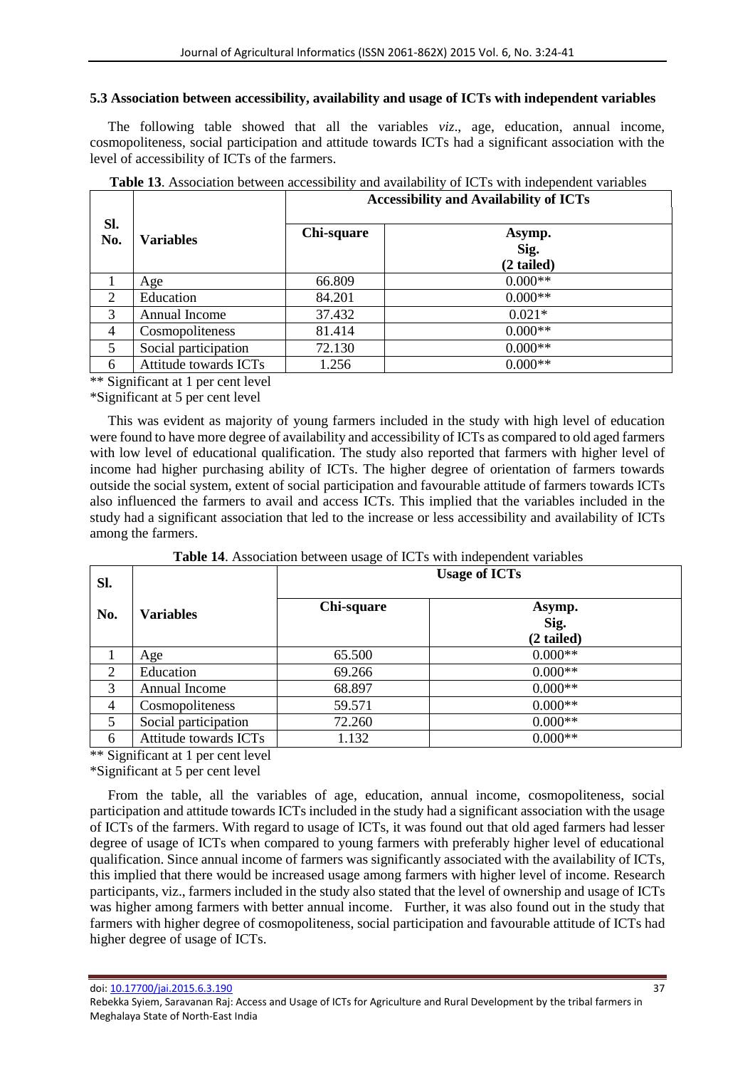### **5.3 Association between accessibility, availability and usage of ICTs with independent variables**

The following table showed that all the variables *viz*., age, education, annual income, cosmopoliteness, social participation and attitude towards ICTs had a significant association with the level of accessibility of ICTs of the farmers.

|                |                       | <b>Accessibility and Availability of ICTs</b> |                              |  |  |
|----------------|-----------------------|-----------------------------------------------|------------------------------|--|--|
| Sl.<br>No.     | Variables             | Chi-square                                    | Asymp.<br>Sig.<br>(2 tailed) |  |  |
|                | Age                   | 66.809                                        | $0.000**$                    |  |  |
| 2              | Education             | 84.201                                        | $0.000**$                    |  |  |
| 3              | Annual Income         | 37.432                                        | $0.021*$                     |  |  |
| $\overline{4}$ | Cosmopoliteness       | 81.414                                        | $0.000**$                    |  |  |
| 5              | Social participation  | 72.130                                        | $0.000**$                    |  |  |
| 6              | Attitude towards ICTs | 1.256                                         | $0.000**$                    |  |  |

**Table 13**. Association between accessibility and availability of ICTs with independent variables

\*\* Significant at 1 per cent level

\*Significant at 5 per cent level

This was evident as majority of young farmers included in the study with high level of education were found to have more degree of availability and accessibility of ICTs as compared to old aged farmers with low level of educational qualification. The study also reported that farmers with higher level of income had higher purchasing ability of ICTs. The higher degree of orientation of farmers towards outside the social system, extent of social participation and favourable attitude of farmers towards ICTs also influenced the farmers to avail and access ICTs. This implied that the variables included in the study had a significant association that led to the increase or less accessibility and availability of ICTs among the farmers.

| SI.            |                       | <b>Usage of ICTs</b> |                              |  |  |  |
|----------------|-----------------------|----------------------|------------------------------|--|--|--|
| No.            | <b>Variables</b>      | Chi-square           | Asymp.<br>Sig.<br>(2 tailed) |  |  |  |
|                | Age                   | 65.500               | $0.000**$                    |  |  |  |
| 2              | Education             | 69.266               | $0.000**$                    |  |  |  |
| 3              | Annual Income         | 68.897               | $0.000**$                    |  |  |  |
| $\overline{4}$ | Cosmopoliteness       | 59.571               | $0.000**$                    |  |  |  |
| 5              | Social participation  | 72.260               | $0.000**$                    |  |  |  |
| 6              | Attitude towards ICTs | 1.132                | $0.000**$                    |  |  |  |

**Table 14**. Association between usage of ICTs with independent variables

\*\* Significant at 1 per cent level

\*Significant at 5 per cent level

From the table, all the variables of age, education, annual income, cosmopoliteness, social participation and attitude towards ICTs included in the study had a significant association with the usage of ICTs of the farmers. With regard to usage of ICTs, it was found out that old aged farmers had lesser degree of usage of ICTs when compared to young farmers with preferably higher level of educational qualification. Since annual income of farmers was significantly associated with the availability of ICTs, this implied that there would be increased usage among farmers with higher level of income. Research participants, viz., farmers included in the study also stated that the level of ownership and usage of ICTs was higher among farmers with better annual income. Further, it was also found out in the study that farmers with higher degree of cosmopoliteness, social participation and favourable attitude of ICTs had higher degree of usage of ICTs.

doi: <u>[10.17700/jai.2015.6.3.190](http://dx.doi.org/10.17700/jai.2015.6.3.190)</u> 37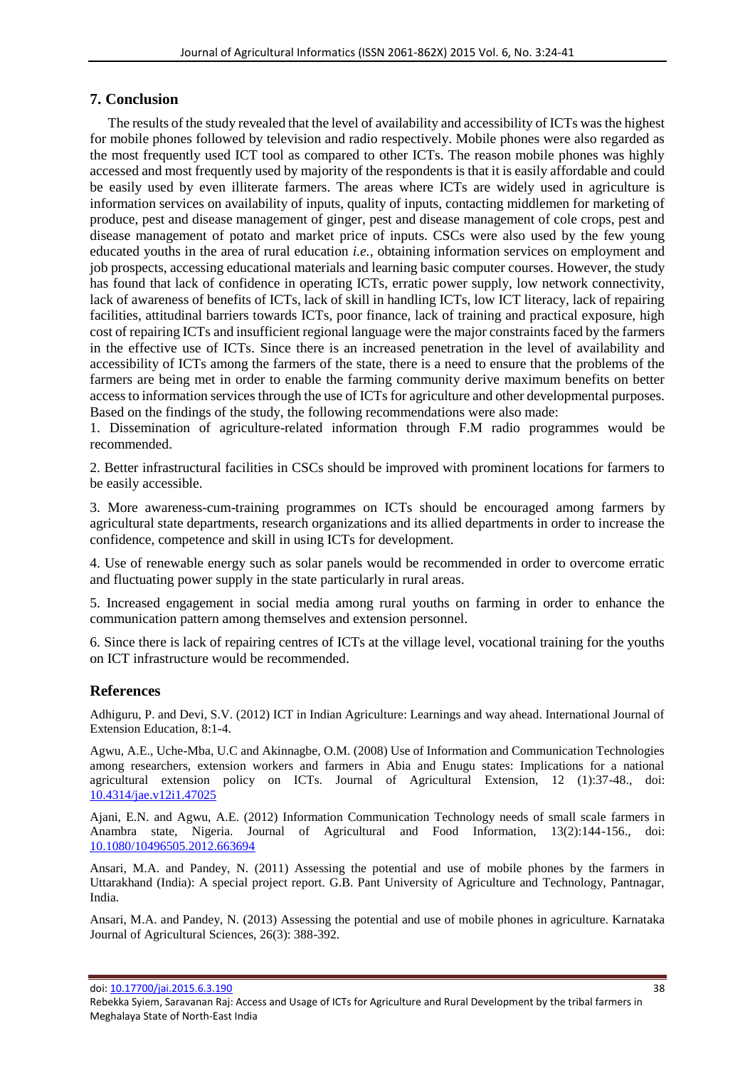## **7. Conclusion**

The results of the study revealed that the level of availability and accessibility of ICTs was the highest for mobile phones followed by television and radio respectively. Mobile phones were also regarded as the most frequently used ICT tool as compared to other ICTs. The reason mobile phones was highly accessed and most frequently used by majority of the respondents is that it is easily affordable and could be easily used by even illiterate farmers. The areas where ICTs are widely used in agriculture is information services on availability of inputs, quality of inputs, contacting middlemen for marketing of produce, pest and disease management of ginger, pest and disease management of cole crops, pest and disease management of potato and market price of inputs. CSCs were also used by the few young educated youths in the area of rural education *i.e.,* obtaining information services on employment and job prospects, accessing educational materials and learning basic computer courses. However, the study has found that lack of confidence in operating ICTs, erratic power supply, low network connectivity, lack of awareness of benefits of ICTs, lack of skill in handling ICTs, low ICT literacy, lack of repairing facilities, attitudinal barriers towards ICTs, poor finance, lack of training and practical exposure, high cost of repairing ICTs and insufficient regional language were the major constraints faced by the farmers in the effective use of ICTs. Since there is an increased penetration in the level of availability and accessibility of ICTs among the farmers of the state, there is a need to ensure that the problems of the farmers are being met in order to enable the farming community derive maximum benefits on better access to information services through the use of ICTs for agriculture and other developmental purposes. Based on the findings of the study, the following recommendations were also made:

1. Dissemination of agriculture-related information through F.M radio programmes would be recommended.

2. Better infrastructural facilities in CSCs should be improved with prominent locations for farmers to be easily accessible.

3. More awareness-cum-training programmes on ICTs should be encouraged among farmers by agricultural state departments, research organizations and its allied departments in order to increase the confidence, competence and skill in using ICTs for development.

4. Use of renewable energy such as solar panels would be recommended in order to overcome erratic and fluctuating power supply in the state particularly in rural areas.

5. Increased engagement in social media among rural youths on farming in order to enhance the communication pattern among themselves and extension personnel.

6. Since there is lack of repairing centres of ICTs at the village level, vocational training for the youths on ICT infrastructure would be recommended.

## **References**

Adhiguru, P. and Devi, S.V. (2012) ICT in Indian Agriculture: Learnings and way ahead. International Journal of Extension Education, 8:1-4.

Agwu, A.E., Uche-Mba, U.C and Akinnagbe, O.M. (2008) Use of Information and Communication Technologies among researchers, extension workers and farmers in Abia and Enugu states: Implications for a national agricultural extension policy on ICTs. Journal of Agricultural Extension, 12 (1):37-48., doi: [10.4314/jae.v12i1.47025](http://dx.doi.org/10.4314/jae.v12i1.47025) 

Ajani, E.N. and Agwu, A.E. (2012) Information Communication Technology needs of small scale farmers in Anambra state, Nigeria. Journal of Agricultural and Food Information, 13(2):144-156., doi: [10.1080/10496505.2012.663694](http://dx.doi.org/10.1080/10496505.2012.663694) 

Ansari, M.A. and Pandey, N. (2011) Assessing the potential and use of mobile phones by the farmers in Uttarakhand (India): A special project report. G.B. Pant University of Agriculture and Technology, Pantnagar, India.

Ansari, M.A. and Pandey, N. (2013) Assessing the potential and use of mobile phones in agriculture. Karnataka Journal of Agricultural Sciences, 26(3): 388-392.

doi: <u>[10.17700/jai.2015.6.3.190](http://dx.doi.org/10.17700/jai.2015.6.3.190)</u> 38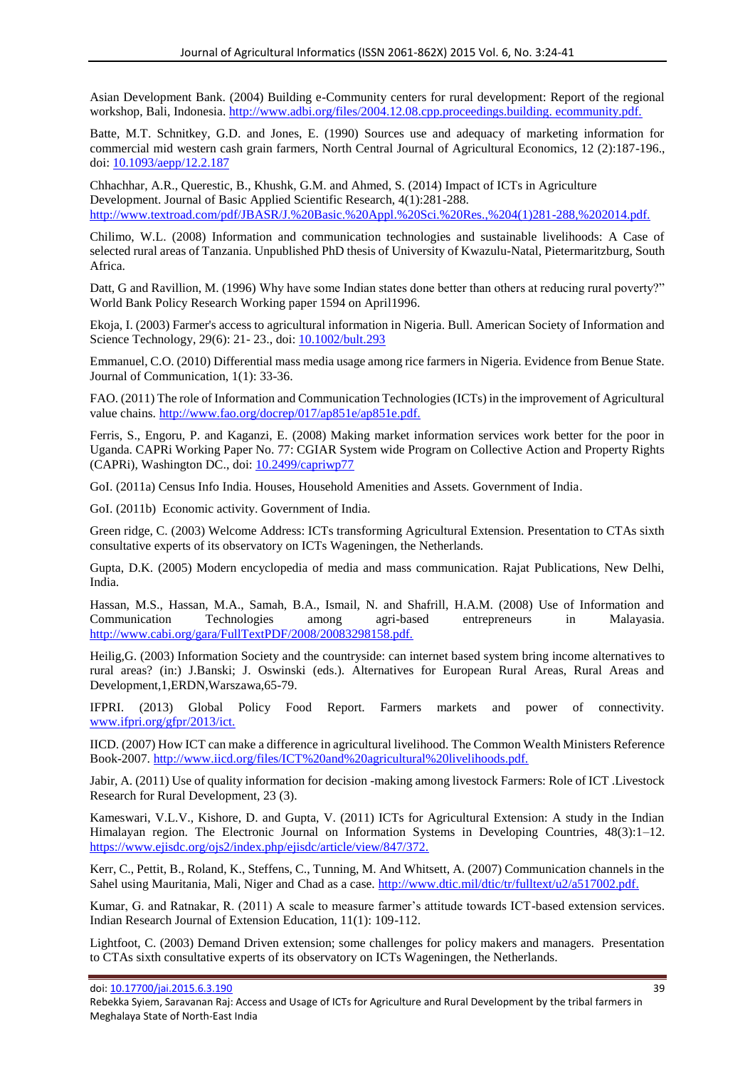Asian Development Bank. (2004) Building e-Community centers for rural development: Report of the regional workshop, Bali, Indonesia. [http://www.adbi.org/files/2004.12.08.cpp.proceedings.building. ecommunity.pdf.](http://www.adbi.org/files/2004.12.08.cpp.proceedings.building.%20ecommunity.pdf)

Batte, M.T. Schnitkey, G.D. and Jones, E. (1990) Sources use and adequacy of marketing information for commercial mid western cash grain farmers, North Central Journal of Agricultural Economics, 12 (2):187-196., doi: [10.1093/aepp/12.2.187](http://dx.doi.org/10.1093/aepp/12.2.187) 

Chhachhar, A.R., Querestic, B., Khushk, G.M. and Ahmed, S. (2014) Impact of ICTs in Agriculture Development. Journal of Basic Applied Scientific Research, 4(1):281-288. [http://www.textroad.com/pdf/JBASR/J.%20Basic.%20Appl.%20Sci.%20Res.,%204\(1\)281-288,%202014.pdf.](http://www.textroad.com/pdf/JBASR/J.%20Basic.%20Appl.%20Sci.%20Res.,%204(1)281-288,%202014.pdf)

Chilimo, W.L. (2008) Information and communication technologies and sustainable livelihoods: A Case of selected rural areas of Tanzania. Unpublished PhD thesis of University of Kwazulu-Natal, Pietermaritzburg, South Africa.

Datt, G and Ravillion, M. (1996) Why have some Indian states done better than others at reducing rural poverty?" World Bank Policy Research Working paper 1594 on April1996.

Ekoja, I. (2003) Farmer's access to agricultural information in Nigeria. Bull. American Society of Information and Science Technology, 29(6): 21- 23., doi[: 10.1002/bult.293](http://dx.doi.org/10.1002/bult.293)

Emmanuel, C.O. (2010) Differential mass media usage among rice farmers in Nigeria. Evidence from Benue State. Journal of Communication, 1(1): 33-36.

FAO. (2011) The role of Information and Communication Technologies (ICTs) in the improvement of Agricultural value chains. [http://www.fao.org/docrep/017/ap851e/ap851e.pdf.](http://www.fao.org/docrep/017/ap851e/ap851e.pdf)

Ferris, S., Engoru, P. and Kaganzi, E. (2008) Making market information services work better for the poor in Uganda. CAPRi Working Paper No. 77: CGIAR System wide Program on Collective Action and Property Rights (CAPRi), Washington DC., doi[: 10.2499/capriwp77](http://dx.doi.org/10.2499/capriwp77) 

GoI. (2011a) Census Info India. Houses, Household Amenities and Assets. Government of India.

GoI. (2011b) Economic activity. Government of India.

Green ridge, C. (2003) Welcome Address: ICTs transforming Agricultural Extension. Presentation to CTAs sixth consultative experts of its observatory on ICTs Wageningen, the Netherlands.

Gupta, D.K. (2005) Modern encyclopedia of media and mass communication. Rajat Publications, New Delhi, India.

Hassan, M.S., Hassan, M.A., Samah, B.A., Ismail, N. and Shafrill, H.A.M. (2008) Use of Information and Communication Technologies among agri-based entrepreneurs in Malayasia. [http://www.cabi.org/gara/FullTextPDF/2008/20083298158.pdf.](http://www.cabi.org/gara/FullTextPDF/2008/20083298158.pdf)

Heilig,G. (2003) Information Society and the countryside: can internet based system bring income alternatives to rural areas? (in:) J.Banski; J. Oswinski (eds.). Alternatives for European Rural Areas, Rural Areas and Development,1,ERDN,Warszawa,65-79.

IFPRI. (2013) Global Policy Food Report. Farmers markets and power of connectivity. [www.ifpri.org/gfpr/2013/ict.](file://///193.6.166.50/kozos/Herdon/MAGISZ/_JAI-EFITA-Issues-from-Vol-6-No-3-2015/Publikaciok/Osszeszerkesztett/www.ifpri.org/gfpr/2013/ict)

IICD. (2007) How ICT can make a difference in agricultural livelihood. The Common Wealth Ministers Reference Book-2007. [http://www.iicd.org/files/ICT%20and%20agricultural%20livelihoods.pdf.](http://www.iicd.org/files/ICT%20and%20agricultural%20livelihoods.pdf)

Jabir, A. (2011) Use of quality information for decision -making among livestock Farmers: Role of ICT .Livestock Research for Rural Development, 23 (3).

Kameswari, V.L.V., Kishore, D. and Gupta, V. (2011) ICTs for Agricultural Extension: A study in the Indian Himalayan region. The Electronic Journal on Information Systems in Developing Countries, 48(3):1–12. [https://www.ejisdc.org/ojs2/index.php/ejisdc/article/view/847/372.](https://www.ejisdc.org/ojs2/index.php/ejisdc/article/view/847/372)

Kerr, C., Pettit, B., Roland, K., Steffens, C., Tunning, M. And Whitsett, A. (2007) Communication channels in the Sahel using Mauritania, Mali, Niger and Chad as a case. [http://www.dtic.mil/dtic/tr/fulltext/u2/a517002.pdf.](http://www.dtic.mil/dtic/tr/fulltext/u2/a517002.pdf)

Kumar, G. and Ratnakar, R. (2011) A scale to measure farmer's attitude towards ICT-based extension services. Indian Research Journal of Extension Education, 11(1): 109-112.

Lightfoot, C. (2003) Demand Driven extension; some challenges for policy makers and managers. Presentation to CTAs sixth consultative experts of its observatory on ICTs Wageningen, the Netherlands.

doi: [10.17700/jai.2015.6.3.190](http://dx.doi.org/10.17700/jai.2015.6.3.190) 39

Rebekka Syiem, Saravanan Raj: Access and Usage of ICTs for Agriculture and Rural Development by the tribal farmers in Meghalaya State of North-East India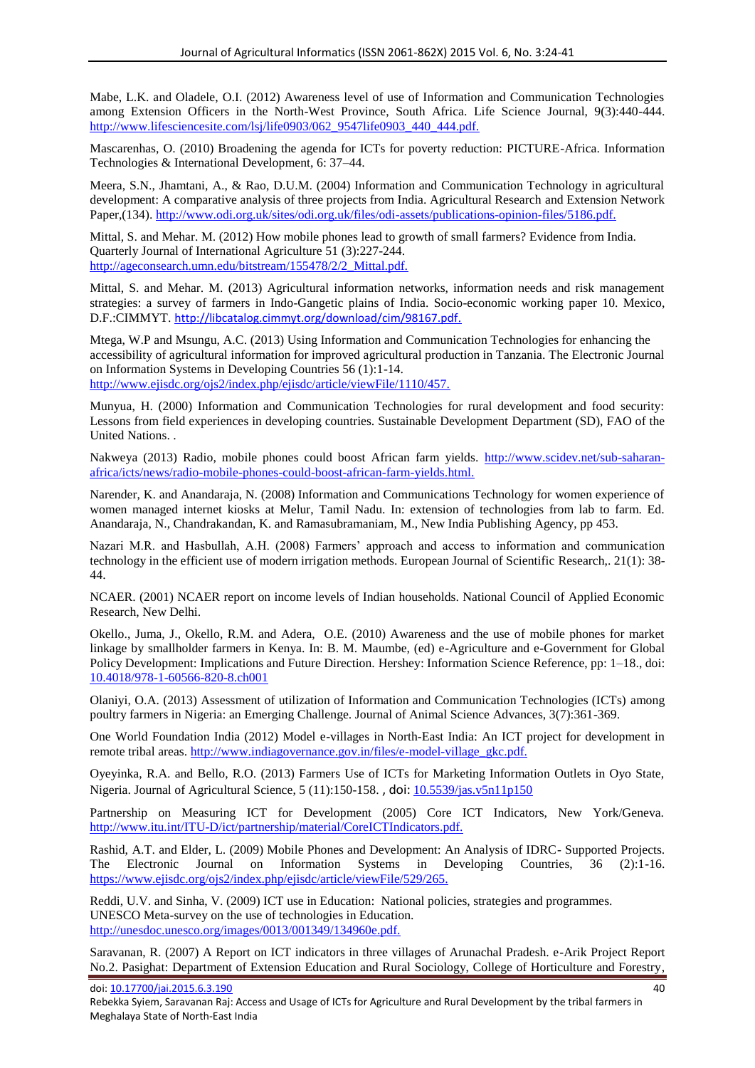Mabe, L.K. and Oladele, O.I. (2012) Awareness level of use of Information and Communication Technologies among Extension Officers in the North-West Province, South Africa. Life Science Journal, 9(3):440-444. [http://www.lifesciencesite.com/lsj/life0903/062\\_9547life0903\\_440\\_444.pdf.](http://www.lifesciencesite.com/lsj/life0903/062_9547life0903_440_444.pdf)

Mascarenhas, O. (2010) Broadening the agenda for ICTs for poverty reduction: PICTURE-Africa. Information Technologies & International Development, 6: 37–44.

Meera, S.N., Jhamtani, A., & Rao, D.U.M. (2004) Information and Communication Technology in agricultural development: A comparative analysis of three projects from India. Agricultural Research and Extension Network Paper,(134). [http://www.odi.org.uk/sites/odi.org.uk/files/odi-assets/publications-opinion-files/5186.pdf.](http://www.odi.org.uk/sites/odi.org.uk/files/odi-assets/publications-opinion-files/5186.pdf) 

Mittal, S. and Mehar. M. (2012) How mobile phones lead to growth of small farmers? Evidence from India. Quarterly Journal of International Agriculture 51 (3):227-244. [http://ageconsearch.umn.edu/bitstream/155478/2/2\\_Mittal.pdf.](http://ageconsearch.umn.edu/bitstream/155478/2/2_Mittal.pdf)

Mittal, S. and Mehar. M. (2013) Agricultural information networks, information needs and risk management strategies: a survey of farmers in Indo-Gangetic plains of India. Socio-economic working paper 10. Mexico, D.F.:CIMMYT. <http://libcatalog.cimmyt.org/download/cim/98167.pdf>.

Mtega, W.P and Msungu, A.C. (2013) Using Information and Communication Technologies for enhancing the accessibility of agricultural information for improved agricultural production in Tanzania. The Electronic Journal on Information Systems in Developing Countries 56 (1):1-14. [http://www.ejisdc.org/ojs2/index.php/ejisdc/article/viewFile/1110/457.](http://www.ejisdc.org/ojs2/index.php/ejisdc/article/viewFile/1110/457)

Munyua, H. (2000) Information and Communication Technologies for rural development and food security: Lessons from field experiences in developing countries. Sustainable Development Department (SD), FAO of the United Nations. .

Nakweya (2013) Radio, mobile phones could boost African farm yields. [http://www.scidev.net/sub-saharan](http://www.scidev.net/sub-saharan-africa/icts/news/radio-mobile-phones-could-boost-african-farm-yields.html)[africa/icts/news/radio-mobile-phones-could-boost-african-farm-yields.html.](http://www.scidev.net/sub-saharan-africa/icts/news/radio-mobile-phones-could-boost-african-farm-yields.html)

Narender, K. and Anandaraja, N. (2008) Information and Communications Technology for women experience of women managed internet kiosks at Melur, Tamil Nadu. In: extension of technologies from lab to farm. Ed. Anandaraja, N., Chandrakandan, K. and Ramasubramaniam, M., New India Publishing Agency, pp 453.

Nazari M.R. and Hasbullah, A.H. (2008) Farmers' approach and access to information and communication technology in the efficient use of modern irrigation methods. European Journal of Scientific Research,. 21(1): 38- 44.

NCAER. (2001) NCAER report on income levels of Indian households. National Council of Applied Economic Research, New Delhi.

Okello., Juma, J., Okello, R.M. and Adera, O.E. (2010) Awareness and the use of mobile phones for market linkage by smallholder farmers in Kenya. In: B. M. Maumbe, (ed) e-Agriculture and e-Government for Global Policy Development: Implications and Future Direction. Hershey: Information Science Reference, pp: 1–18., doi: [10.4018/978-1-60566-820-8.ch001](http://dx.doi.org/10.4018/978-1-60566-820-8.ch001) 

Olaniyi, O.A. (2013) Assessment of utilization of Information and Communication Technologies (ICTs) among poultry farmers in Nigeria: an Emerging Challenge. Journal of Animal Science Advances, 3(7):361-369.

One World Foundation India (2012) Model e-villages in North-East India: An ICT project for development in remote tribal areas. [http://www.indiagovernance.gov.in/files/e-model-village\\_gkc.pdf.](http://www.indiagovernance.gov.in/files/e-model-village_gkc.pdf)

Oyeyinka, R.A. and Bello, R.O. (2013) Farmers Use of ICTs for Marketing Information Outlets in Oyo State, Nigeria. Journal of Agricultural Science, 5 (11):150-158. , doi: 10.5539/jas.v5n11p150

Partnership on Measuring ICT for Development (2005) Core ICT Indicators, New York/Geneva. [http://www.itu.int/ITU-D/ict/partnership/material/CoreICTIndicators.pdf.](http://www.itu.int/ITU-D/ict/partnership/material/CoreICTIndicators.pdf)

Rashid, A.T. and Elder, L. (2009) Mobile Phones and Development: An Analysis of IDRC- Supported Projects. The Electronic Journal on Information Systems in Developing Countries, 36 (2):1-1[6.](https://www.ejisdc.org/ojs2/index.php/ejisdc/article/viewFile/529/265) [https://www.ejisdc.org/ojs2/index.php/ejisdc/article/viewFile/529/265.](https://www.ejisdc.org/ojs2/index.php/ejisdc/article/viewFile/529/265)

Reddi, U.V. and Sinha, V. (2009) ICT use in Education: National policies, strategies and programmes. UNESCO Meta-survey on the use of technologies in Education. [http://unesdoc.unesco.org/images/0013/001349/134960e.pdf.](http://unesdoc.unesco.org/images/0013/001349/134960e.pdf)

Saravanan, R. (2007) A Report on ICT indicators in three villages of Arunachal Pradesh. e-Arik Project Report No.2. Pasighat: Department of Extension Education and Rural Sociology, College of Horticulture and Forestry,

doi: [10.17700/jai.2015.6.3.190](http://dx.doi.org/10.17700/jai.2015.6.3.190) 40